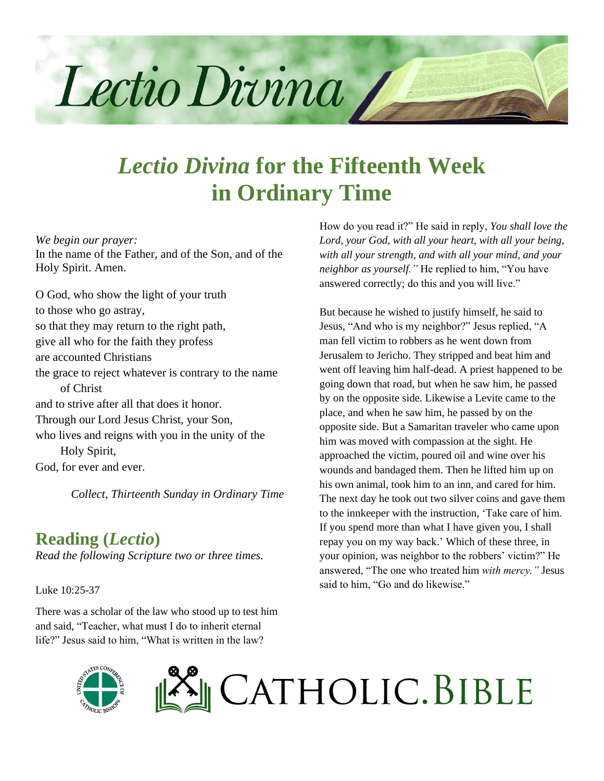

# *Lectio Divina* **for the Fifteenth Week in Ordinary Time**

*We begin our prayer:*

In the name of the Father, and of the Son, and of the Holy Spirit. Amen.

O God, who show the light of your truth to those who go astray, so that they may return to the right path, give all who for the faith they profess are accounted Christians the grace to reject whatever is contrary to the name of Christ and to strive after all that does it honor. Through our Lord Jesus Christ, your Son, who lives and reigns with you in the unity of the Holy Spirit, God, for ever and ever.

*Collect, Thirteenth Sunday in Ordinary Time*

#### **Reading (***Lectio***)**

*Read the following Scripture two or three times.*

Luke 10:25-37

There was a scholar of the law who stood up to test him and said, "Teacher, what must I do to inherit eternal life?" Jesus said to him, "What is written in the law?

How do you read it?" He said in reply, *You shall love the Lord, your God, with all your heart, with all your being, with all your strength, and with all your mind, and your neighbor as yourself."* He replied to him, "You have answered correctly; do this and you will live."

But because he wished to justify himself, he said to Jesus, "And who is my neighbor?" Jesus replied, "A man fell victim to robbers as he went down from Jerusalem to Jericho. They stripped and beat him and went off leaving him half-dead. A priest happened to be going down that road, but when he saw him, he passed by on the opposite side. Likewise a Levite came to the place, and when he saw him, he passed by on the opposite side. But a Samaritan traveler who came upon him was moved with compassion at the sight. He approached the victim, poured oil and wine over his wounds and bandaged them. Then he lifted him up on his own animal, took him to an inn, and cared for him. The next day he took out two silver coins and gave them to the innkeeper with the instruction, 'Take care of him. If you spend more than what I have given you, I shall repay you on my way back.' Which of these three, in your opinion, was neighbor to the robbers' victim?" He answered, "The one who treated him *with mercy."* Jesus said to him, "Go and do likewise."